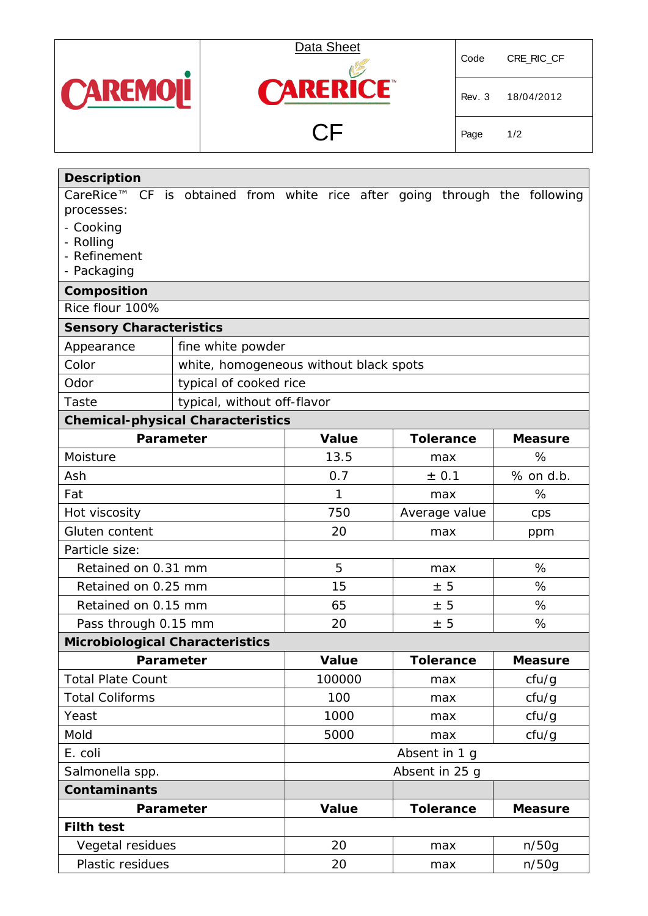



Rev. 3 18/04/2012

Page 1/2

| <b>Description</b>                                                         |                                        |               |                |              |     |               |                  |       |                |
|----------------------------------------------------------------------------|----------------------------------------|---------------|----------------|--------------|-----|---------------|------------------|-------|----------------|
| CareRice™ CF is obtained from white rice after going through the following |                                        |               |                |              |     |               |                  |       |                |
| processes:                                                                 |                                        |               |                |              |     |               |                  |       |                |
| - Cooking<br>- Rolling                                                     |                                        |               |                |              |     |               |                  |       |                |
| - Refinement                                                               |                                        |               |                |              |     |               |                  |       |                |
| - Packaging                                                                |                                        |               |                |              |     |               |                  |       |                |
| Composition                                                                |                                        |               |                |              |     |               |                  |       |                |
| Rice flour 100%                                                            |                                        |               |                |              |     |               |                  |       |                |
| <b>Sensory Characteristics</b>                                             |                                        |               |                |              |     |               |                  |       |                |
| Appearance                                                                 | fine white powder                      |               |                |              |     |               |                  |       |                |
| Color                                                                      | white, homogeneous without black spots |               |                |              |     |               |                  |       |                |
| Odor                                                                       | typical of cooked rice                 |               |                |              |     |               |                  |       |                |
| Taste                                                                      | typical, without off-flavor            |               |                |              |     |               |                  |       |                |
| <b>Chemical-physical Characteristics</b>                                   |                                        |               |                |              |     |               |                  |       |                |
| Parameter                                                                  |                                        |               |                | <b>Value</b> |     |               | <b>Tolerance</b> |       | <b>Measure</b> |
| Moisture                                                                   |                                        |               |                | 13.5         |     |               | max              |       | %              |
| Ash                                                                        |                                        |               |                | 0.7          |     | ± 0.1         |                  |       | % on d.b.      |
| Fat                                                                        |                                        |               | 1              |              |     | max           | %                |       |                |
| Hot viscosity                                                              |                                        |               | 750            |              |     | Average value | cps              |       |                |
| Gluten content                                                             |                                        |               |                | 20           |     |               | max              |       | ppm            |
| Particle size:                                                             |                                        |               |                |              |     |               |                  |       |                |
| Retained on 0.31 mm                                                        |                                        |               | 5              |              | max |               |                  | %     |                |
| Retained on 0.25 mm                                                        |                                        |               |                | 15           |     |               | ± 5              |       | %              |
| Retained on 0.15 mm                                                        |                                        |               |                | 65           |     |               | ± 5              |       | %              |
| Pass through 0.15 mm                                                       |                                        |               |                | 20           |     |               | ± 5              |       | %              |
| <b>Microbiological Characteristics</b>                                     |                                        |               |                |              |     |               |                  |       |                |
|                                                                            | Parameter                              |               |                | Value        |     |               | <b>Tolerance</b> |       | <b>Measure</b> |
| <b>Total Plate Count</b>                                                   |                                        |               |                | 100000       |     |               | max              |       | cfu/g          |
| <b>Total Coliforms</b>                                                     |                                        |               |                | 100          |     |               | max              |       | cfu/g          |
| Yeast                                                                      |                                        |               |                | 1000         |     |               | max              |       | cfu/g          |
| Mold                                                                       |                                        |               | 5000           |              |     | max           |                  | cfu/g |                |
| E. coli                                                                    |                                        | Absent in 1 g |                |              |     |               |                  |       |                |
| Salmonella spp.                                                            |                                        |               | Absent in 25 g |              |     |               |                  |       |                |
| <b>Contaminants</b>                                                        |                                        |               |                |              |     |               |                  |       |                |
| Parameter                                                                  |                                        |               |                | <b>Value</b> |     |               | <b>Tolerance</b> |       | <b>Measure</b> |
| <b>Filth test</b>                                                          |                                        |               |                |              |     |               |                  |       |                |
| Vegetal residues                                                           |                                        |               | 20             |              | max |               | n/50q            |       |                |
| Plastic residues                                                           |                                        |               | 20             |              |     | max           |                  | n/50g |                |